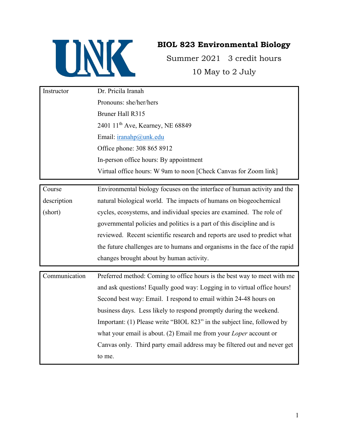

## **BIOL 823 Environmental Biology**

Summer 2021 3 credit hours 10 May to 2 July

| Instructor | Dr. Pricila Iranah                                               |
|------------|------------------------------------------------------------------|
|            | Pronouns: she/her/hers                                           |
|            | Bruner Hall R315                                                 |
|            | 2401 11 <sup>th</sup> Ave, Kearney, NE 68849                     |
|            | Email: $iranahp@unk.edu$                                         |
|            | Office phone: 308 865 8912                                       |
|            | In-person office hours: By appointment                           |
|            | Virtual office hours: W 9am to noon [Check Canvas for Zoom link] |
|            |                                                                  |

Course description (short) Environmental biology focuses on the interface of human activity and the natural biological world. The impacts of humans on biogeochemical cycles, ecosystems, and individual species are examined. The role of governmental policies and politics is a part of this discipline and is reviewed. Recent scientific research and reports are used to predict what the future challenges are to humans and organisms in the face of the rapid changes brought about by human activity.

| Communication | Preferred method: Coming to office hours is the best way to meet with me |
|---------------|--------------------------------------------------------------------------|
|               | and ask questions! Equally good way: Logging in to virtual office hours! |
|               | Second best way: Email. I respond to email within 24-48 hours on         |
|               | business days. Less likely to respond promptly during the weekend.       |
|               | Important: (1) Please write "BIOL 823" in the subject line, followed by  |
|               | what your email is about. (2) Email me from your <i>Loper</i> account or |
|               | Canvas only. Third party email address may be filtered out and never get |
|               | to me.                                                                   |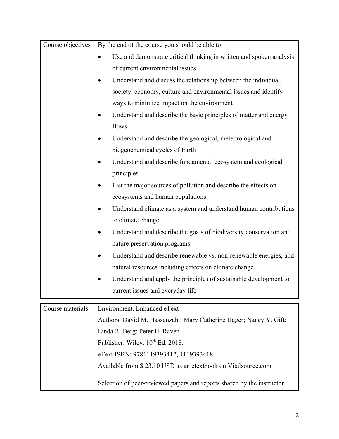| Course objectives | By the end of the course you should be able to:                           |  |
|-------------------|---------------------------------------------------------------------------|--|
|                   | Use and demonstrate critical thinking in written and spoken analysis      |  |
|                   | of current environmental issues                                           |  |
|                   | Understand and discuss the relationship between the individual,           |  |
|                   | society, economy, culture and environmental issues and identify           |  |
|                   | ways to minimize impact on the environment                                |  |
|                   | Understand and describe the basic principles of matter and energy         |  |
|                   | flows                                                                     |  |
|                   | Understand and describe the geological, meteorological and                |  |
|                   | biogeochemical cycles of Earth                                            |  |
|                   | Understand and describe fundamental ecosystem and ecological<br>$\bullet$ |  |
|                   | principles                                                                |  |
|                   | List the major sources of pollution and describe the effects on           |  |
|                   | ecosystems and human populations                                          |  |
|                   | Understand climate as a system and understand human contributions         |  |
|                   | to climate change                                                         |  |
|                   | Understand and describe the goals of biodiversity conservation and        |  |
|                   | nature preservation programs.                                             |  |
|                   | Understand and describe renewable vs. non-renewable energies, and         |  |
|                   | natural resources including effects on climate change                     |  |
|                   | Understand and apply the principles of sustainable development to         |  |
|                   | current issues and everyday life                                          |  |
| Course materials  | Environment, Enhanced eText                                               |  |
|                   | Authors: David M. Hassenzahl; Mary Catherine Hager; Nancy Y. Gift;        |  |
|                   | Linda R. Berg; Peter H. Raven                                             |  |
|                   | Publisher: Wiley. 10 <sup>th</sup> Ed. 2018.                              |  |
|                   | eText ISBN: 9781119393412, 1119393418                                     |  |
|                   | Available from \$23.10 USD as an etextbook on Vitalsource.com             |  |

Selection of peer-reviewed papers and reports shared by the instructor.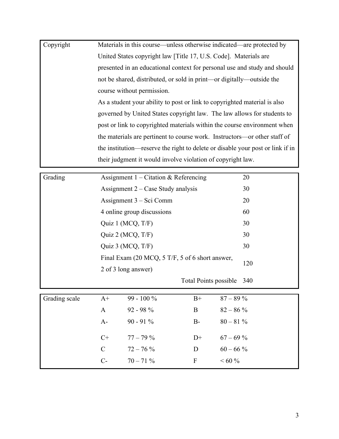| Copyright | Materials in this course—unless otherwise indicated—are protected by           |
|-----------|--------------------------------------------------------------------------------|
|           | United States copyright law [Title 17, U.S. Code]. Materials are               |
|           | presented in an educational context for personal use and study and should      |
|           | not be shared, distributed, or sold in print—or digitally—outside the          |
|           | course without permission.                                                     |
|           | As a student your ability to post or link to copyrighted material is also      |
|           | governed by United States copyright law. The law allows for students to        |
|           | post or link to copyrighted materials within the course environment when       |
|           | the materials are pertinent to course work. Instructors—or other staff of      |
|           | the institution—reserve the right to delete or disable your post or link if in |
|           | their judgment it would involve violation of copyright law.                    |

| Grading | Assignment $1$ – Citation & Referencing         | 20  |
|---------|-------------------------------------------------|-----|
|         | Assignment $2 - Case$ Study analysis            | 30  |
|         | Assignment 3 – Sci Comm                         | 20  |
|         | 4 online group discussions                      | 60  |
|         | Quiz 1 (MCQ, $T/F$ )                            | 30  |
|         | Quiz 2 (MCQ, $T/F$ )                            | 30  |
|         | Quiz 3 (MCQ, $T/F$ )                            | 30  |
|         | Final Exam (20 MCQ, 5 T/F, 5 of 6 short answer, |     |
|         | 2 of 3 long answer)                             | 120 |
|         | Total Points possible                           | 340 |
|         |                                                 |     |

| Grading scale | $A^+$ | $99 - 100\%$ | $B+$ | $87 - 89\%$ |
|---------------|-------|--------------|------|-------------|
|               | A     | $92 - 98 \%$ | B    | $82 - 86\%$ |
|               | $A-$  | $90 - 91\%$  | $B-$ | $80 - 81\%$ |
|               | $C+$  | $77 - 79\%$  | $D+$ | $67 - 69\%$ |
|               | C     | $72 - 76\%$  | D    | $60 - 66\%$ |
|               | $C$ - | $70 - 71\%$  | F    | $~160\%$    |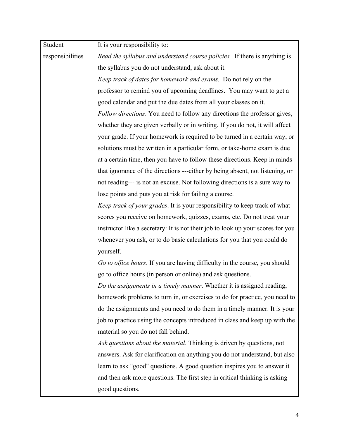| Student          | It is your responsibility to:                                                   |
|------------------|---------------------------------------------------------------------------------|
| responsibilities | Read the syllabus and understand course policies. If there is anything is       |
|                  | the syllabus you do not understand, ask about it.                               |
|                  | Keep track of dates for homework and exams. Do not rely on the                  |
|                  | professor to remind you of upcoming deadlines. You may want to get a            |
|                  | good calendar and put the due dates from all your classes on it.                |
|                  | Follow directions. You need to follow any directions the professor gives,       |
|                  | whether they are given verbally or in writing. If you do not, it will affect    |
|                  | your grade. If your homework is required to be turned in a certain way, or      |
|                  | solutions must be written in a particular form, or take-home exam is due        |
|                  | at a certain time, then you have to follow these directions. Keep in minds      |
|                  | that ignorance of the directions ---either by being absent, not listening, or   |
|                  | not reading--- is not an excuse. Not following directions is a sure way to      |
|                  | lose points and puts you at risk for failing a course.                          |
|                  | Keep track of your grades. It is your responsibility to keep track of what      |
|                  | scores you receive on homework, quizzes, exams, etc. Do not treat your          |
|                  | instructor like a secretary: It is not their job to look up your scores for you |
|                  | whenever you ask, or to do basic calculations for you that you could do         |
|                  | yourself.                                                                       |
|                  | Go to office hours. If you are having difficulty in the course, you should      |
|                  | go to office hours (in person or online) and ask questions.                     |
|                  | Do the assignments in a timely manner. Whether it is assigned reading,          |
|                  | homework problems to turn in, or exercises to do for practice, you need to      |
|                  | do the assignments and you need to do them in a timely manner. It is your       |
|                  | job to practice using the concepts introduced in class and keep up with the     |
|                  | material so you do not fall behind.                                             |
|                  | Ask questions about the material. Thinking is driven by questions, not          |
|                  | answers. Ask for clarification on anything you do not understand, but also      |
|                  | learn to ask "good" questions. A good question inspires you to answer it        |
|                  | and then ask more questions. The first step in critical thinking is asking      |
|                  | good questions.                                                                 |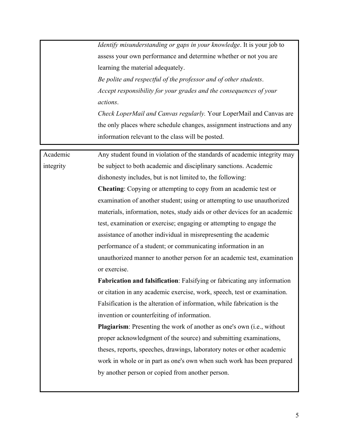*Identify misunderstanding or gaps in your knowledge*. It is your job to assess your own performance and determine whether or not you are learning the material adequately.

*Be polite and respectful of the professor and of other students*. *Accept responsibility for your grades and the consequences of your actions*.

*Check LoperMail and Canvas regularly.* Your LoperMail and Canvas are the only places where schedule changes, assignment instructions and any information relevant to the class will be posted.

Academic integrity Any student found in violation of the standards of academic integrity may be subject to both academic and disciplinary sanctions. Academic dishonesty includes, but is not limited to, the following: **Cheating**: Copying or attempting to copy from an academic test or examination of another student; using or attempting to use unauthorized materials, information, notes, study aids or other devices for an academic test, examination or exercise; engaging or attempting to engage the assistance of another individual in misrepresenting the academic performance of a student; or communicating information in an unauthorized manner to another person for an academic test, examination or exercise. **Fabrication and falsification**: Falsifying or fabricating any information or citation in any academic exercise, work, speech, test or examination. Falsification is the alteration of information, while fabrication is the invention or counterfeiting of information. **Plagiarism**: Presenting the work of another as one's own (i.e., without proper acknowledgment of the source) and submitting examinations, theses, reports, speeches, drawings, laboratory notes or other academic work in whole or in part as one's own when such work has been prepared by another person or copied from another person.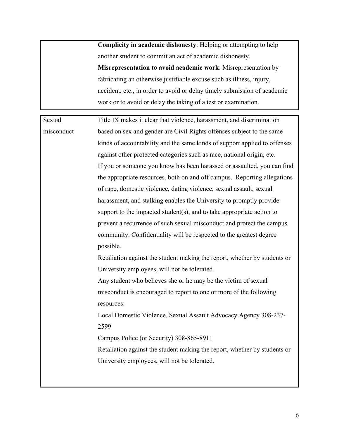**Complicity in academic dishonesty**: Helping or attempting to help another student to commit an act of academic dishonesty. **Misrepresentation to avoid academic work**: Misrepresentation by fabricating an otherwise justifiable excuse such as illness, injury, accident, etc., in order to avoid or delay timely submission of academic work or to avoid or delay the taking of a test or examination.

Sexual misconduct Title IX makes it clear that violence, harassment, and discrimination based on sex and gender are Civil Rights offenses subject to the same kinds of accountability and the same kinds of support applied to offenses against other protected categories such as race, national origin, etc. If you or someone you know has been harassed or assaulted, you can find the appropriate resources, both on and off campus. Reporting allegations of rape, domestic violence, dating violence, sexual assault, sexual harassment, and stalking enables the University to promptly provide support to the impacted student(s), and to take appropriate action to prevent a recurrence of such sexual misconduct and protect the campus community. Confidentiality will be respected to the greatest degree possible. Retaliation against the student making the report, whether by students or University employees, will not be tolerated. Any student who believes she or he may be the victim of sexual misconduct is encouraged to report to one or more of the following resources: Local Domestic Violence, Sexual Assault Advocacy Agency 308-237- 2599 Campus Police (or Security) 308-865-8911 Retaliation against the student making the report, whether by students or University employees, will not be tolerated.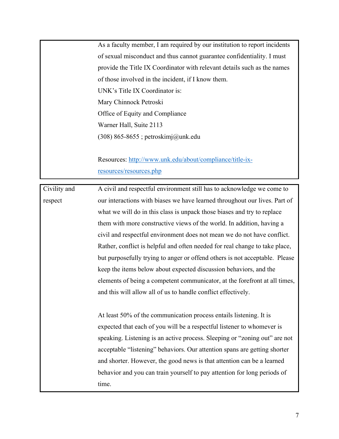As a faculty member, I am required by our institution to report incidents of sexual misconduct and thus cannot guarantee confidentiality. I must provide the Title IX Coordinator with relevant details such as the names of those involved in the incident, if I know them. UNK's Title IX Coordinator is: Mary Chinnock Petroski Office of Equity and Compliance Warner Hall, Suite 2113 (308) 865-8655 ; petroskimj@unk.edu

Resources: http://www.unk.edu/about/compliance/title-ixresources/resources.php

Civility and respect A civil and respectful environment still has to acknowledge we come to our interactions with biases we have learned throughout our lives. Part of what we will do in this class is unpack those biases and try to replace them with more constructive views of the world. In addition, having a civil and respectful environment does not mean we do not have conflict. Rather, conflict is helpful and often needed for real change to take place, but purposefully trying to anger or offend others is not acceptable. Please keep the items below about expected discussion behaviors, and the elements of being a competent communicator, at the forefront at all times, and this will allow all of us to handle conflict effectively. At least 50% of the communication process entails listening. It is

expected that each of you will be a respectful listener to whomever is speaking. Listening is an active process. Sleeping or "zoning out" are not acceptable "listening" behaviors. Our attention spans are getting shorter and shorter. However, the good news is that attention can be a learned behavior and you can train yourself to pay attention for long periods of time.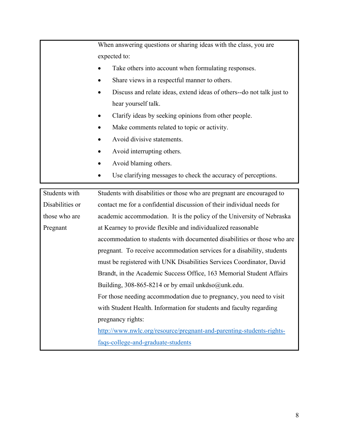|                 | When answering questions or sharing ideas with the class, you are       |  |
|-----------------|-------------------------------------------------------------------------|--|
|                 | expected to:                                                            |  |
|                 | Take others into account when formulating responses.                    |  |
|                 | Share views in a respectful manner to others.                           |  |
|                 | Discuss and relate ideas, extend ideas of others--do not talk just to   |  |
|                 | hear yourself talk.                                                     |  |
|                 | Clarify ideas by seeking opinions from other people.                    |  |
|                 | Make comments related to topic or activity.                             |  |
|                 | Avoid divisive statements.                                              |  |
|                 | Avoid interrupting others.                                              |  |
|                 | Avoid blaming others.                                                   |  |
|                 | Use clarifying messages to check the accuracy of perceptions.           |  |
| Students with   | Students with disabilities or those who are pregnant are encouraged to  |  |
| Disabilities or | contact me for a confidential discussion of their individual needs for  |  |
| those who are   | academic accommodation. It is the policy of the University of Nebraska  |  |
| Pregnant        | at Kearney to provide flexible and individualized reasonable            |  |
|                 | accommodation to students with documented disabilities or those who are |  |
|                 | pregnant. To receive accommodation services for a disability, students  |  |
|                 |                                                                         |  |
|                 | must be registered with UNK Disabilities Services Coordinator, David    |  |
|                 | Brandt, in the Academic Success Office, 163 Memorial Student Affairs    |  |
|                 | Building, 308-865-8214 or by email unkdso $@$ unk.edu.                  |  |
|                 | For those needing accommodation due to pregnancy, you need to visit     |  |
|                 | with Student Health. Information for students and faculty regarding     |  |
|                 | pregnancy rights:                                                       |  |
|                 | http://www.nwlc.org/resource/pregnant-and-parenting-students-rights-    |  |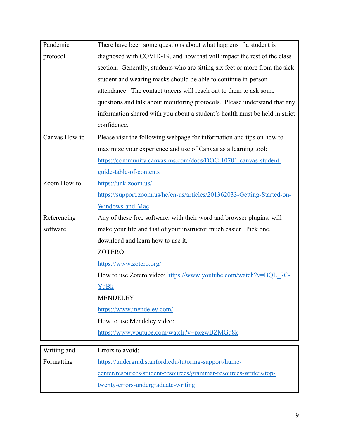| Pandemic      | There have been some questions about what happens if a student is           |
|---------------|-----------------------------------------------------------------------------|
| protocol      | diagnosed with COVID-19, and how that will impact the rest of the class     |
|               | section. Generally, students who are sitting six feet or more from the sick |
|               | student and wearing masks should be able to continue in-person              |
|               | attendance. The contact tracers will reach out to them to ask some          |
|               | questions and talk about monitoring protocols. Please understand that any   |
|               | information shared with you about a student's health must be held in strict |
|               | confidence.                                                                 |
| Canvas How-to | Please visit the following webpage for information and tips on how to       |
|               | maximize your experience and use of Canvas as a learning tool:              |
|               | https://community.canvaslms.com/docs/DOC-10701-canvas-student-              |
|               | guide-table-of-contents                                                     |
| Zoom How-to   | https://unk.zoom.us/                                                        |
|               | https://support.zoom.us/hc/en-us/articles/201362033-Getting-Started-on-     |
|               | Windows-and-Mac                                                             |
| Referencing   | Any of these free software, with their word and browser plugins, will       |
| software      | make your life and that of your instructor much easier. Pick one,           |
|               | download and learn how to use it.                                           |
|               | <b>ZOTERO</b>                                                               |
|               | https://www.zotero.org/                                                     |
|               | How to use Zotero video: https://www.youtube.com/watch?v=BQL 7C-            |
|               | YqBk                                                                        |
|               | <b>MENDELEY</b>                                                             |
|               | https://www.mendeley.com/                                                   |
|               | How to use Mendeley video:                                                  |
|               | https://www.youtube.com/watch?v=pxgwBZMGq8k                                 |
|               |                                                                             |
| Writing and   | Errors to avoid:                                                            |
| Formatting    | https://undergrad.stanford.edu/tutoring-support/hume-                       |
|               | center/resources/student-resources/grammar-resources-writers/top-           |

twenty-errors-undergraduate-writing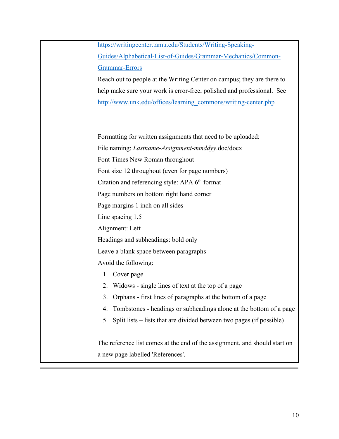https://writingcenter.tamu.edu/Students/Writing-Speaking-Guides/Alphabetical-List-of-Guides/Grammar-Mechanics/Common-Grammar-Errors

Reach out to people at the Writing Center on campus; they are there to help make sure your work is error-free, polished and professional. See http://www.unk.edu/offices/learning\_commons/writing-center.php

Formatting for written assignments that need to be uploaded: File naming: *Lastname*-*Assignment*-*mmddyy*.doc/docx Font Times New Roman throughout Font size 12 throughout (even for page numbers) Citation and referencing style: APA 6<sup>th</sup> format Page numbers on bottom right hand corner Page margins 1 inch on all sides Line spacing 1.5 Alignment: Left Headings and subheadings: bold only Leave a blank space between paragraphs Avoid the following: 1. Cover page 2. Widows - single lines of text at the top of a page 3. Orphans - first lines of paragraphs at the bottom of a page

- 4. Tombstones headings or subheadings alone at the bottom of a page
- 5. Split lists lists that are divided between two pages (if possible)

The reference list comes at the end of the assignment, and should start on a new page labelled 'References'.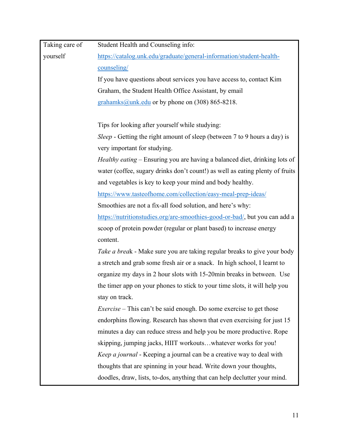| Taking care of | Student Health and Counseling info:                                              |
|----------------|----------------------------------------------------------------------------------|
| yourself       | https://catalog.unk.edu/graduate/general-information/student-health-             |
|                | counseling/                                                                      |
|                | If you have questions about services you have access to, contact Kim             |
|                | Graham, the Student Health Office Assistant, by email                            |
|                | grahamks@unk.edu or by phone on (308) 865-8218.                                  |
|                | Tips for looking after yourself while studying:                                  |
|                | <i>Sleep</i> - Getting the right amount of sleep (between 7 to 9 hours a day) is |
|                | very important for studying.                                                     |
|                | Healthy eating - Ensuring you are having a balanced diet, drinking lots of       |
|                | water (coffee, sugary drinks don't count!) as well as eating plenty of fruits    |
|                | and vegetables is key to keep your mind and body healthy.                        |
|                | https://www.tasteofhome.com/collection/easy-meal-prep-ideas/                     |
|                | Smoothies are not a fix-all food solution, and here's why:                       |
|                | https://nutritionstudies.org/are-smoothies-good-or-bad/, but you can add a       |
|                | scoop of protein powder (regular or plant based) to increase energy              |
|                | content.                                                                         |
|                | Take a break - Make sure you are taking regular breaks to give your body         |
|                | a stretch and grab some fresh air or a snack. In high school, I learnt to        |
|                | organize my days in 2 hour slots with 15-20min breaks in between. Use            |
|                | the timer app on your phones to stick to your time slots, it will help you       |
|                | stay on track.                                                                   |
|                | <i>Exercise</i> – This can't be said enough. Do some exercise to get those       |
|                | endorphins flowing. Research has shown that even exercising for just 15          |
|                | minutes a day can reduce stress and help you be more productive. Rope            |
|                | skipping, jumping jacks, HIIT workoutswhatever works for you!                    |
|                | Keep a journal - Keeping a journal can be a creative way to deal with            |
|                | thoughts that are spinning in your head. Write down your thoughts,               |
|                | doodles, draw, lists, to-dos, anything that can help declutter your mind.        |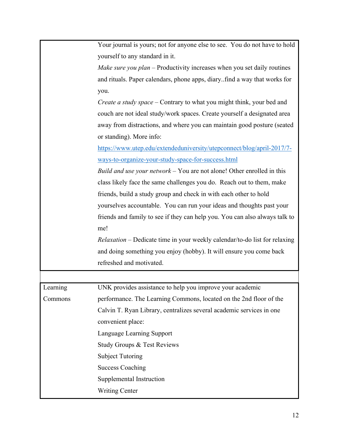|          | Your journal is yours; not for anyone else to see. You do not have to hold        |
|----------|-----------------------------------------------------------------------------------|
|          | yourself to any standard in it.                                                   |
|          | Make sure you plan – Productivity increases when you set daily routines           |
|          | and rituals. Paper calendars, phone apps, diaryfind a way that works for          |
|          | you.                                                                              |
|          | <i>Create a study space</i> – Contrary to what you might think, your bed and      |
|          | couch are not ideal study/work spaces. Create yourself a designated area          |
|          | away from distractions, and where you can maintain good posture (seated           |
|          | or standing). More info:                                                          |
|          | https://www.utep.edu/extendeduniversity/utepconnect/blog/april-2017/7-            |
|          | ways-to-organize-your-study-space-for-success.html                                |
|          | Build and use your network $-$ You are not alone! Other enrolled in this          |
|          | class likely face the same challenges you do. Reach out to them, make             |
|          | friends, build a study group and check in with each other to hold                 |
|          | yourselves accountable. You can run your ideas and thoughts past your             |
|          | friends and family to see if they can help you. You can also always talk to       |
|          | me!                                                                               |
|          | <i>Relaxation</i> – Dedicate time in your weekly calendar/to-do list for relaxing |
|          | and doing something you enjoy (hobby). It will ensure you come back               |
|          | refreshed and motivated.                                                          |
|          |                                                                                   |
| Learning | UNK provides assistance to help you improve your academic                         |
| Commons  | performance. The Learning Commons, located on the 2nd floor of the                |
|          | Calvin T. Ryan Library, centralizes several academic services in one              |
|          | convenient place:                                                                 |
|          | Language Learning Support                                                         |
|          | Study Groups & Test Reviews                                                       |
|          | <b>Subject Tutoring</b>                                                           |
|          | <b>Success Coaching</b>                                                           |
|          | Supplemental Instruction                                                          |
|          | <b>Writing Center</b>                                                             |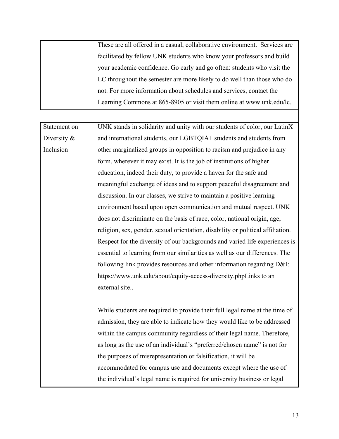These are all offered in a casual, collaborative environment. Services are facilitated by fellow UNK students who know your professors and build your academic confidence. Go early and go often: students who visit the LC throughout the semester are more likely to do well than those who do not. For more information about schedules and services, contact the Learning Commons at 865-8905 or visit them online at www.unk.edu/lc.

Statement on Diversity & Inclusion UNK stands in solidarity and unity with our students of color, our LatinX and international students, our LGBTQIA+ students and students from other marginalized groups in opposition to racism and prejudice in any form, wherever it may exist. It is the job of institutions of higher education, indeed their duty, to provide a haven for the safe and meaningful exchange of ideas and to support peaceful disagreement and discussion. In our classes, we strive to maintain a positive learning environment based upon open communication and mutual respect. UNK does not discriminate on the basis of race, color, national origin, age, religion, sex, gender, sexual orientation, disability or political affiliation. Respect for the diversity of our backgrounds and varied life experiences is essential to learning from our similarities as well as our differences. The following link provides resources and other information regarding D&I: https://www.unk.edu/about/equity-access-diversity.phpLinks to an external site..

> While students are required to provide their full legal name at the time of admission, they are able to indicate how they would like to be addressed within the campus community regardless of their legal name. Therefore, as long as the use of an individual's "preferred/chosen name" is not for the purposes of misrepresentation or falsification, it will be accommodated for campus use and documents except where the use of the individual's legal name is required for university business or legal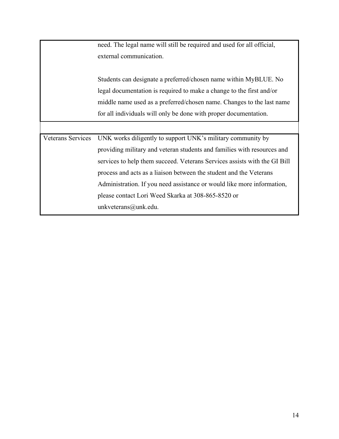|                          | need. The legal name will still be required and used for all official,    |
|--------------------------|---------------------------------------------------------------------------|
|                          | external communication.                                                   |
|                          |                                                                           |
|                          | Students can designate a preferred/chosen name within MyBLUE. No          |
|                          | legal documentation is required to make a change to the first and/or      |
|                          | middle name used as a preferred/chosen name. Changes to the last name     |
|                          | for all individuals will only be done with proper documentation.          |
|                          |                                                                           |
| <b>Veterans Services</b> | UNK works diligently to support UNK's military community by               |
|                          | providing military and veteran students and families with resources and   |
|                          | services to help them succeed. Veterans Services assists with the GI Bill |
|                          | process and acts as a liaison between the student and the Veterans        |
|                          | Administration. If you need assistance or would like more information,    |
|                          | please contact Lori Weed Skarka at 308-865-8520 or                        |
|                          | unkveterans@unk.edu.                                                      |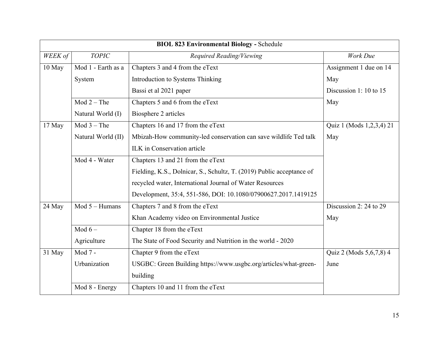| <b>BIOL 823 Environmental Biology - Schedule</b> |                    |                                                                       |                          |  |  |
|--------------------------------------------------|--------------------|-----------------------------------------------------------------------|--------------------------|--|--|
| WEEK of                                          | <b>TOPIC</b>       | Required Reading/Viewing                                              | Work Due                 |  |  |
| 10 May                                           | Mod 1 - Earth as a | Chapters 3 and 4 from the eText                                       | Assignment 1 due on 14   |  |  |
|                                                  | System             | Introduction to Systems Thinking                                      | May                      |  |  |
|                                                  |                    | Bassi et al 2021 paper                                                | Discussion 1: 10 to 15   |  |  |
|                                                  | $Mod 2 - The$      | Chapters 5 and 6 from the eText                                       | May                      |  |  |
|                                                  | Natural World (I)  | Biosphere 2 articles                                                  |                          |  |  |
| 17 May                                           | $Mod 3 - The$      | Chapters 16 and 17 from the eText                                     | Quiz 1 (Mods 1,2,3,4) 21 |  |  |
|                                                  | Natural World (II) | Mbizah-How community-led conservation can save wildlife Ted talk      | May                      |  |  |
|                                                  |                    | ILK in Conservation article                                           |                          |  |  |
|                                                  | Mod 4 - Water      | Chapters 13 and 21 from the eText                                     |                          |  |  |
|                                                  |                    | Fielding, K.S., Dolnicar, S., Schultz, T. (2019) Public acceptance of |                          |  |  |
|                                                  |                    | recycled water, International Journal of Water Resources              |                          |  |  |
|                                                  |                    | Development, 35:4, 551-586, DOI: 10.1080/07900627.2017.1419125        |                          |  |  |
| 24 May                                           | Mod 5 - Humans     | Chapters 7 and 8 from the eText                                       | Discussion 2: 24 to 29   |  |  |
|                                                  |                    | Khan Academy video on Environmental Justice                           | May                      |  |  |
|                                                  | Mod $6-$           | Chapter 18 from the eText                                             |                          |  |  |
|                                                  | Agriculture        | The State of Food Security and Nutrition in the world - 2020          |                          |  |  |
| 31 May                                           | Mod 7 -            | Chapter 9 from the eText                                              | Quiz 2 (Mods 5,6,7,8) 4  |  |  |
|                                                  | Urbanization       | USGBC: Green Building https://www.usgbc.org/articles/what-green-      | June                     |  |  |
|                                                  |                    | building                                                              |                          |  |  |
|                                                  | Mod 8 - Energy     | Chapters 10 and 11 from the eText                                     |                          |  |  |